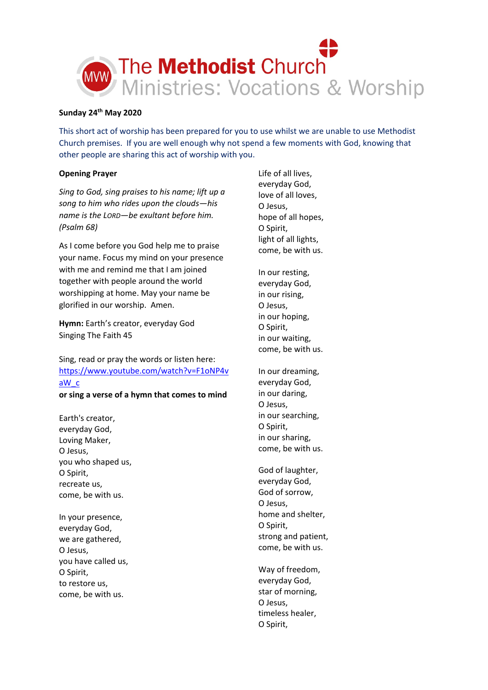

# **Sunday 24th May 2020**

This short act of worship has been prepared for you to use whilst we are unable to use Methodist Church premises. If you are well enough why not spend a few moments with God, knowing that other people are sharing this act of worship with you.

# **Opening Prayer**

*Sing to God, sing praises to his name; lift up a song to him who rides upon the clouds—his name is the LORD—be exultant before him. (Psalm 68)*

As I come before you God help me to praise your name. Focus my mind on your presence with me and remind me that I am joined together with people around the world worshipping at home. May your name be glorified in our worship. Amen.

**Hymn:** Earth's creator, everyday God Singing The Faith 45

Sing, read or pray the words or listen here: [https://www.youtube.com/watch?v=F1oNP4v](https://www.youtube.com/watch?v=F1oNP4vaW_c) [aW\\_c](https://www.youtube.com/watch?v=F1oNP4vaW_c)

**or sing a verse of a hymn that comes to mind**

Earth's creator, everyday God, Loving Maker, O Jesus, you who shaped us, O Spirit, recreate us, come, be with us.

In your presence, everyday God, we are gathered, O Jesus, you have called us, O Spirit, to restore us, come, be with us.

Life of all lives, everyday God, love of all loves, O Jesus, hope of all hopes, O Spirit, light of all lights, come, be with us.

In our resting, everyday God, in our rising, O Jesus, in our hoping, O Spirit, in our waiting, come, be with us.

In our dreaming, everyday God, in our daring, O Jesus, in our searching, O Spirit, in our sharing, come, be with us.

God of laughter, everyday God, God of sorrow, O Jesus, home and shelter, O Spirit, strong and patient, come, be with us.

Way of freedom, everyday God, star of morning, O Jesus, timeless healer, O Spirit,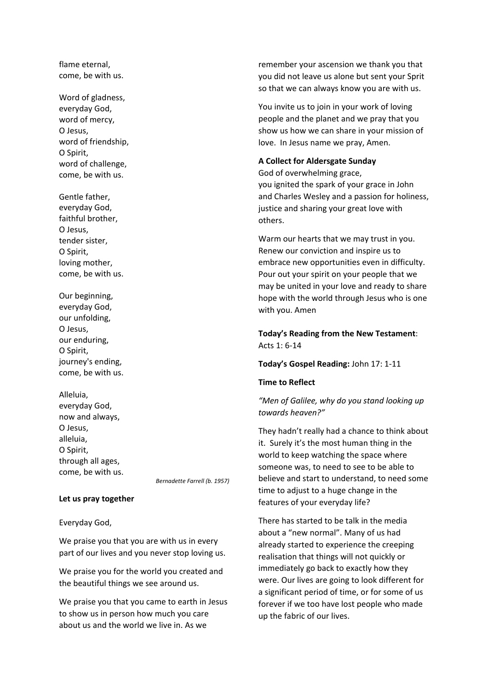flame eternal, come, be with us.

Word of gladness, everyday God, word of mercy, O Jesus, word of friendship, O Spirit, word of challenge, come, be with us.

Gentle father, everyday God, faithful brother, O Jesus, tender sister, O Spirit, loving mother, come, be with us.

Our beginning, everyday God, our unfolding, O Jesus, our enduring, O Spirit, journey's ending, come, be with us.

Alleluia, everyday God, now and always, O Jesus, alleluia, O Spirit, through all ages, come, be with us.

*Bernadette Farrell (b. 1957)*

### **Let us pray together**

Everyday God,

We praise you that you are with us in every part of our lives and you never stop loving us.

We praise you for the world you created and the beautiful things we see around us.

We praise you that you came to earth in Jesus to show us in person how much you care about us and the world we live in. As we

remember your ascension we thank you that you did not leave us alone but sent your Sprit so that we can always know you are with us.

You invite us to join in your work of loving people and the planet and we pray that you show us how we can share in your mission of love. In Jesus name we pray, Amen.

## **A Collect for Aldersgate Sunday**

God of overwhelming grace,

you ignited the spark of your grace in John and Charles Wesley and a passion for holiness, justice and sharing your great love with others.

Warm our hearts that we may trust in you. Renew our conviction and inspire us to embrace new opportunities even in difficulty. Pour out your spirit on your people that we may be united in your love and ready to share hope with the world through Jesus who is one with you. Amen

# **Today's Reading from the New Testament**: Acts 1: 6-14

### **Today's Gospel Reading:** John 17: 1-11

## **Time to Reflect**

*"Men of Galilee, why do you stand looking up towards heaven?"*

They hadn't really had a chance to think about it. Surely it's the most human thing in the world to keep watching the space where someone was, to need to see to be able to believe and start to understand, to need some time to adjust to a huge change in the features of your everyday life?

There has started to be talk in the media about a "new normal". Many of us had already started to experience the creeping realisation that things will not quickly or immediately go back to exactly how they were. Our lives are going to look different for a significant period of time, or for some of us forever if we too have lost people who made up the fabric of our lives.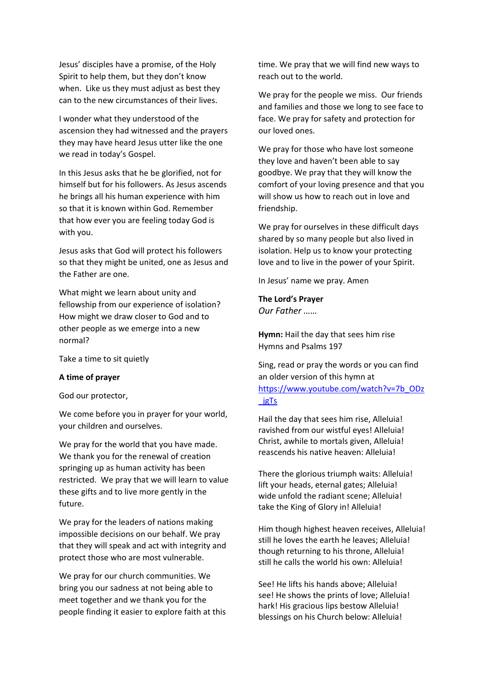Jesus' disciples have a promise, of the Holy Spirit to help them, but they don't know when. Like us they must adjust as best they can to the new circumstances of their lives.

I wonder what they understood of the ascension they had witnessed and the prayers they may have heard Jesus utter like the one we read in today's Gospel.

In this Jesus asks that he be glorified, not for himself but for his followers. As Jesus ascends he brings all his human experience with him so that it is known within God. Remember that how ever you are feeling today God is with you.

Jesus asks that God will protect his followers so that they might be united, one as Jesus and the Father are one.

What might we learn about unity and fellowship from our experience of isolation? How might we draw closer to God and to other people as we emerge into a new normal?

Take a time to sit quietly

# **A time of prayer**

God our protector,

We come before you in prayer for your world, your children and ourselves.

We pray for the world that you have made. We thank you for the renewal of creation springing up as human activity has been restricted. We pray that we will learn to value these gifts and to live more gently in the future.

We pray for the leaders of nations making impossible decisions on our behalf. We pray that they will speak and act with integrity and protect those who are most vulnerable.

We pray for our church communities. We bring you our sadness at not being able to meet together and we thank you for the people finding it easier to explore faith at this time. We pray that we will find new ways to reach out to the world.

We pray for the people we miss. Our friends and families and those we long to see face to face. We pray for safety and protection for our loved ones.

We pray for those who have lost someone they love and haven't been able to say goodbye. We pray that they will know the comfort of your loving presence and that you will show us how to reach out in love and friendship.

We pray for ourselves in these difficult days shared by so many people but also lived in isolation. Help us to know your protecting love and to live in the power of your Spirit.

In Jesus' name we pray. Amen

**The Lord's Prayer** *Our Father ……*

**Hymn:** Hail the day that sees him rise Hymns and Psalms 197

Sing, read or pray the words or you can find an older version of this hymn at [https://www.youtube.com/watch?v=7b\\_ODz](https://www.youtube.com/watch?v=7b_ODz_jgTs) [\\_jgTs](https://www.youtube.com/watch?v=7b_ODz_jgTs)

Hail the day that sees him rise, Alleluia! ravished from our wistful eyes! Alleluia! Christ, awhile to mortals given, Alleluia! reascends his native heaven: Alleluia!

There the glorious triumph waits: Alleluia! lift your heads, eternal gates; Alleluia! wide unfold the radiant scene; Alleluia! take the King of Glory in! Alleluia!

Him though highest heaven receives, Alleluia! still he loves the earth he leaves; Alleluia! though returning to his throne, Alleluia! still he calls the world his own: Alleluia!

See! He lifts his hands above; Alleluia! see! He shows the prints of love; Alleluia! hark! His gracious lips bestow Alleluia! blessings on his Church below: Alleluia!